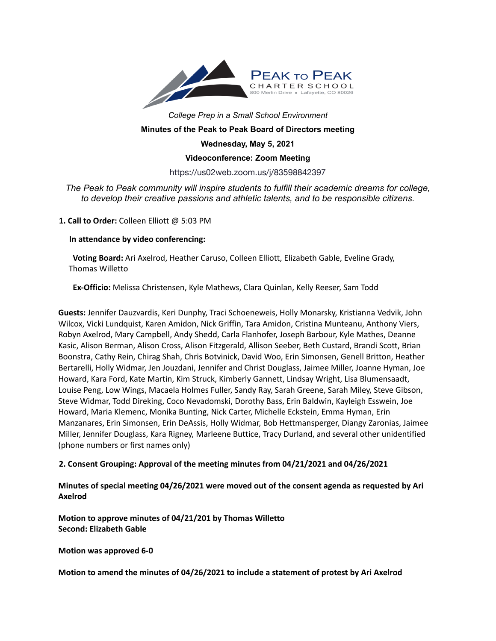

# *College Prep in a Small School Environment* **Minutes of the Peak to Peak Board of Directors meeting**

#### **Wednesday, May 5, 2021**

#### **Videoconference: Zoom Meeting**

## https://us02web.zoom.us/j/83598842397

# *The Peak to Peak community will inspire students to fulfill their academic dreams for college, to develop their creative passions and athletic talents, and to be responsible citizens.*

#### **1. Call to Order:** Colleen Elliott @ 5:03 PM

#### **In attendance by video conferencing:**

**Voting Board:** Ari Axelrod, Heather Caruso, Colleen Elliott, Elizabeth Gable, Eveline Grady, Thomas Willetto

**Ex-Officio:** Melissa Christensen, Kyle Mathews, Clara Quinlan, Kelly Reeser, Sam Todd

**Guests:** Jennifer Dauzvardis, Keri Dunphy, Traci Schoeneweis, Holly Monarsky, Kristianna Vedvik, John Wilcox, Vicki Lundquist, Karen Amidon, Nick Griffin, Tara Amidon, Cristina Munteanu, Anthony Viers, Robyn Axelrod, Mary Campbell, Andy Shedd, Carla Flanhofer, Joseph Barbour, Kyle Mathes, Deanne Kasic, Alison Berman, Alison Cross, Alison Fitzgerald, Allison Seeber, Beth Custard, Brandi Scott, Brian Boonstra, Cathy Rein, Chirag Shah, Chris Botvinick, David Woo, Erin Simonsen, Genell Britton, Heather Bertarelli, Holly Widmar, Jen Jouzdani, Jennifer and Christ Douglass, Jaimee Miller, Joanne Hyman, Joe Howard, Kara Ford, Kate Martin, Kim Struck, Kimberly Gannett, Lindsay Wright, Lisa Blumensaadt, Louise Peng, Low Wings, Macaela Holmes Fuller, Sandy Ray, Sarah Greene, Sarah Miley, Steve Gibson, Steve Widmar, Todd Direking, Coco Nevadomski, Dorothy Bass, Erin Baldwin, Kayleigh Esswein, Joe Howard, Maria Klemenc, Monika Bunting, Nick Carter, Michelle Eckstein, Emma Hyman, Erin Manzanares, Erin Simonsen, Erin DeAssis, Holly Widmar, Bob Hettmansperger, Diangy Zaronias, Jaimee Miller, Jennifer Douglass, Kara Rigney, Marleene Buttice, Tracy Durland, and several other unidentified (phone numbers or first names only)

# **2. Consent Grouping: Approval of the meeting minutes from 04/21/2021 and 04/26/2021**

## **Minutes of special meeting 04/26/2021 were moved out of the consent agenda as requested by Ari Axelrod**

**Motion to approve minutes of 04/21/201 by Thomas Willetto Second: Elizabeth Gable**

**Motion was approved 6-0**

**Motion to amend the minutes of 04/26/2021 to include a statement of protest by Ari Axelrod**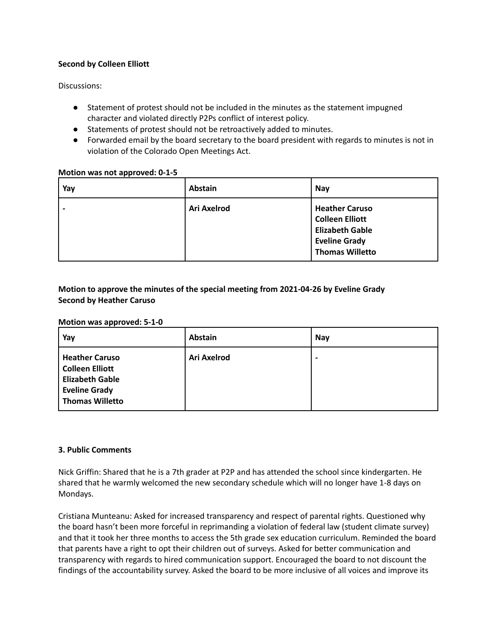#### **Second by Colleen Elliott**

Discussions:

- Statement of protest should not be included in the minutes as the statement impugned character and violated directly P2Ps conflict of interest policy.
- Statements of protest should not be retroactively added to minutes.
- Forwarded email by the board secretary to the board president with regards to minutes is not in violation of the Colorado Open Meetings Act.

#### **Motion was not approved: 0-1-5**

| Yay | <b>Abstain</b> | Nay                                                                                                                         |
|-----|----------------|-----------------------------------------------------------------------------------------------------------------------------|
|     | Ari Axelrod    | <b>Heather Caruso</b><br><b>Colleen Elliott</b><br><b>Elizabeth Gable</b><br><b>Eveline Grady</b><br><b>Thomas Willetto</b> |

## **Motion to approve the minutes of the special meeting from 2021-04-26 by Eveline Grady Second by Heather Caruso**

#### **Motion was approved: 5-1-0**

| Yay                                                                                                           | <b>Abstain</b> | <b>Nay</b>               |
|---------------------------------------------------------------------------------------------------------------|----------------|--------------------------|
| <b>Heather Caruso</b><br>Colleen Elliott<br><b>Elizabeth Gable</b><br><b>Eveline Grady</b><br>Thomas Willetto | Ari Axelrod    | $\overline{\phantom{0}}$ |

#### **3. Public Comments**

Nick Griffin: Shared that he is a 7th grader at P2P and has attended the school since kindergarten. He shared that he warmly welcomed the new secondary schedule which will no longer have 1-8 days on Mondays.

Cristiana Munteanu: Asked for increased transparency and respect of parental rights. Questioned why the board hasn't been more forceful in reprimanding a violation of federal law (student climate survey) and that it took her three months to access the 5th grade sex education curriculum. Reminded the board that parents have a right to opt their children out of surveys. Asked for better communication and transparency with regards to hired communication support. Encouraged the board to not discount the findings of the accountability survey. Asked the board to be more inclusive of all voices and improve its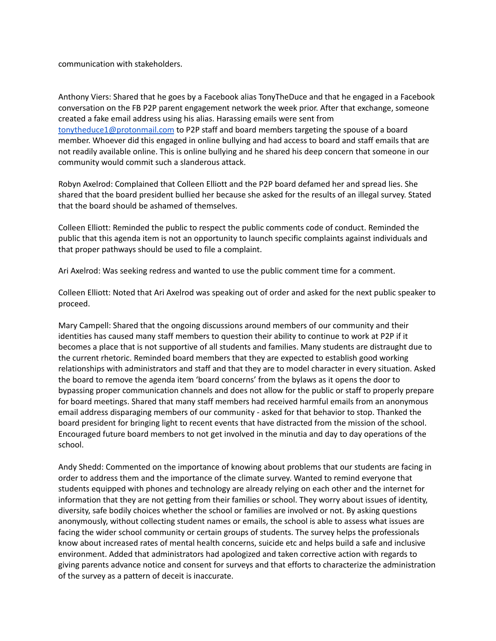communication with stakeholders.

Anthony Viers: Shared that he goes by a Facebook alias TonyTheDuce and that he engaged in a Facebook conversation on the FB P2P parent engagement network the week prior. After that exchange, someone created a fake email address using his alias. Harassing emails were sent from [tonytheduce1@protonmail.com](mailto:tonytheduce1@protonmail.com) to P2P staff and board members targeting the spouse of a board member. Whoever did this engaged in online bullying and had access to board and staff emails that are not readily available online. This is online bullying and he shared his deep concern that someone in our community would commit such a slanderous attack.

Robyn Axelrod: Complained that Colleen Elliott and the P2P board defamed her and spread lies. She shared that the board president bullied her because she asked for the results of an illegal survey. Stated that the board should be ashamed of themselves.

Colleen Elliott: Reminded the public to respect the public comments code of conduct. Reminded the public that this agenda item is not an opportunity to launch specific complaints against individuals and that proper pathways should be used to file a complaint.

Ari Axelrod: Was seeking redress and wanted to use the public comment time for a comment.

Colleen Elliott: Noted that Ari Axelrod was speaking out of order and asked for the next public speaker to proceed.

Mary Campell: Shared that the ongoing discussions around members of our community and their identities has caused many staff members to question their ability to continue to work at P2P if it becomes a place that is not supportive of all students and families. Many students are distraught due to the current rhetoric. Reminded board members that they are expected to establish good working relationships with administrators and staff and that they are to model character in every situation. Asked the board to remove the agenda item 'board concerns' from the bylaws as it opens the door to bypassing proper communication channels and does not allow for the public or staff to properly prepare for board meetings. Shared that many staff members had received harmful emails from an anonymous email address disparaging members of our community - asked for that behavior to stop. Thanked the board president for bringing light to recent events that have distracted from the mission of the school. Encouraged future board members to not get involved in the minutia and day to day operations of the school.

Andy Shedd: Commented on the importance of knowing about problems that our students are facing in order to address them and the importance of the climate survey. Wanted to remind everyone that students equipped with phones and technology are already relying on each other and the internet for information that they are not getting from their families or school. They worry about issues of identity, diversity, safe bodily choices whether the school or families are involved or not. By asking questions anonymously, without collecting student names or emails, the school is able to assess what issues are facing the wider school community or certain groups of students. The survey helps the professionals know about increased rates of mental health concerns, suicide etc and helps build a safe and inclusive environment. Added that administrators had apologized and taken corrective action with regards to giving parents advance notice and consent for surveys and that efforts to characterize the administration of the survey as a pattern of deceit is inaccurate.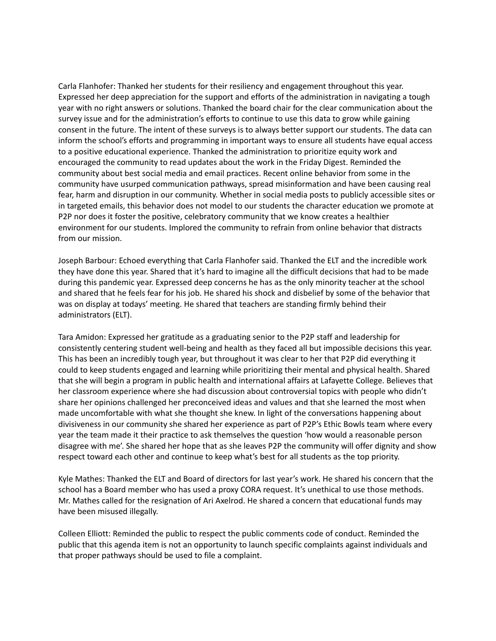Carla Flanhofer: Thanked her students for their resiliency and engagement throughout this year. Expressed her deep appreciation for the support and efforts of the administration in navigating a tough year with no right answers or solutions. Thanked the board chair for the clear communication about the survey issue and for the administration's efforts to continue to use this data to grow while gaining consent in the future. The intent of these surveys is to always better support our students. The data can inform the school's efforts and programming in important ways to ensure all students have equal access to a positive educational experience. Thanked the administration to prioritize equity work and encouraged the community to read updates about the work in the Friday Digest. Reminded the community about best social media and email practices. Recent online behavior from some in the community have usurped communication pathways, spread misinformation and have been causing real fear, harm and disruption in our community. Whether in social media posts to publicly accessible sites or in targeted emails, this behavior does not model to our students the character education we promote at P2P nor does it foster the positive, celebratory community that we know creates a healthier environment for our students. Implored the community to refrain from online behavior that distracts from our mission.

Joseph Barbour: Echoed everything that Carla Flanhofer said. Thanked the ELT and the incredible work they have done this year. Shared that it's hard to imagine all the difficult decisions that had to be made during this pandemic year. Expressed deep concerns he has as the only minority teacher at the school and shared that he feels fear for his job. He shared his shock and disbelief by some of the behavior that was on display at todays' meeting. He shared that teachers are standing firmly behind their administrators (ELT).

Tara Amidon: Expressed her gratitude as a graduating senior to the P2P staff and leadership for consistently centering student well-being and health as they faced all but impossible decisions this year. This has been an incredibly tough year, but throughout it was clear to her that P2P did everything it could to keep students engaged and learning while prioritizing their mental and physical health. Shared that she will begin a program in public health and international affairs at Lafayette College. Believes that her classroom experience where she had discussion about controversial topics with people who didn't share her opinions challenged her preconceived ideas and values and that she learned the most when made uncomfortable with what she thought she knew. In light of the conversations happening about divisiveness in our community she shared her experience as part of P2P's Ethic Bowls team where every year the team made it their practice to ask themselves the question 'how would a reasonable person disagree with me'. She shared her hope that as she leaves P2P the community will offer dignity and show respect toward each other and continue to keep what's best for all students as the top priority.

Kyle Mathes: Thanked the ELT and Board of directors for last year's work. He shared his concern that the school has a Board member who has used a proxy CORA request. It's unethical to use those methods. Mr. Mathes called for the resignation of Ari Axelrod. He shared a concern that educational funds may have been misused illegally.

Colleen Elliott: Reminded the public to respect the public comments code of conduct. Reminded the public that this agenda item is not an opportunity to launch specific complaints against individuals and that proper pathways should be used to file a complaint.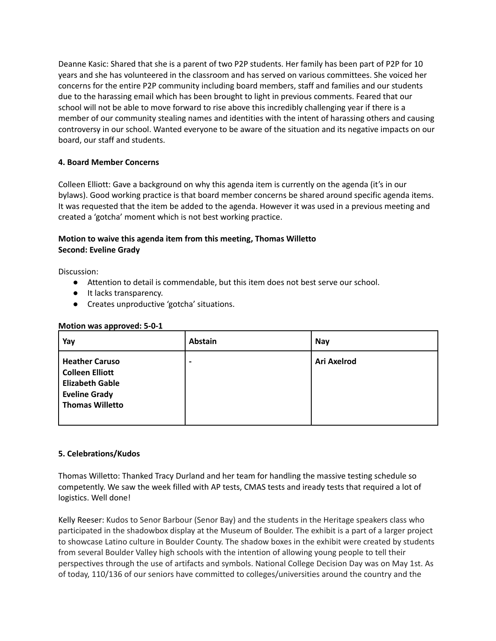Deanne Kasic: Shared that she is a parent of two P2P students. Her family has been part of P2P for 10 years and she has volunteered in the classroom and has served on various committees. She voiced her concerns for the entire P2P community including board members, staff and families and our students due to the harassing email which has been brought to light in previous comments. Feared that our school will not be able to move forward to rise above this incredibly challenging year if there is a member of our community stealing names and identities with the intent of harassing others and causing controversy in our school. Wanted everyone to be aware of the situation and its negative impacts on our board, our staff and students.

## **4. Board Member Concerns**

Colleen Elliott: Gave a background on why this agenda item is currently on the agenda (it's in our bylaws). Good working practice is that board member concerns be shared around specific agenda items. It was requested that the item be added to the agenda. However it was used in a previous meeting and created a 'gotcha' moment which is not best working practice.

# **Motion to waive this agenda item from this meeting, Thomas Willetto Second: Eveline Grady**

Discussion:

- Attention to detail is commendable, but this item does not best serve our school.
- It lacks transparency.
- Creates unproductive 'gotcha' situations.

#### **Motion was approved: 5-0-1**

| Yay                                                                                                                         | <b>Abstain</b> | Nay                |
|-----------------------------------------------------------------------------------------------------------------------------|----------------|--------------------|
| <b>Heather Caruso</b><br><b>Colleen Elliott</b><br><b>Elizabeth Gable</b><br><b>Eveline Grady</b><br><b>Thomas Willetto</b> |                | <b>Ari Axelrod</b> |

#### **5. Celebrations/Kudos**

Thomas Willetto: Thanked Tracy Durland and her team for handling the massive testing schedule so competently. We saw the week filled with AP tests, CMAS tests and iready tests that required a lot of logistics. Well done!

Kelly Reeser: Kudos to Senor Barbour (Senor Bay) and the students in the Heritage speakers class who participated in the shadowbox display at the Museum of Boulder. The exhibit is a part of a larger project to showcase Latino culture in Boulder County. The shadow boxes in the exhibit were created by students from several Boulder Valley high schools with the intention of allowing young people to tell their perspectives through the use of artifacts and symbols. National College Decision Day was on May 1st. As of today, 110/136 of our seniors have committed to colleges/universities around the country and the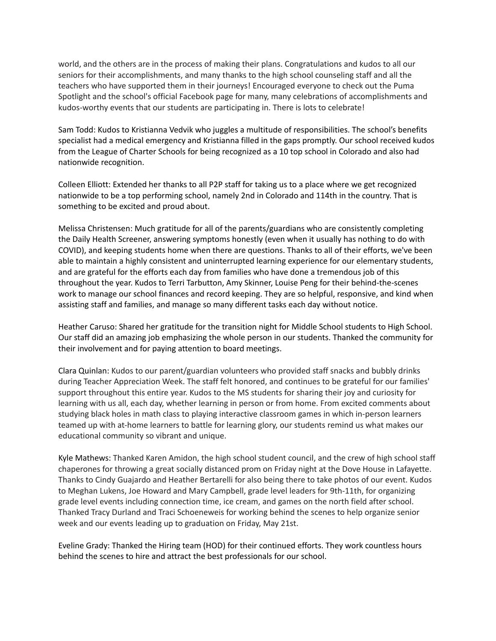world, and the others are in the process of making their plans. Congratulations and kudos to all our seniors for their accomplishments, and many thanks to the high school counseling staff and all the teachers who have supported them in their journeys! Encouraged everyone to check out the Puma Spotlight and the school's official Facebook page for many, many celebrations of accomplishments and kudos-worthy events that our students are participating in. There is lots to celebrate!

Sam Todd: Kudos to Kristianna Vedvik who juggles a multitude of responsibilities. The school's benefits specialist had a medical emergency and Kristianna filled in the gaps promptly. Our school received kudos from the League of Charter Schools for being recognized as a 10 top school in Colorado and also had nationwide recognition.

Colleen Elliott: Extended her thanks to all P2P staff for taking us to a place where we get recognized nationwide to be a top performing school, namely 2nd in Colorado and 114th in the country. That is something to be excited and proud about.

Melissa Christensen: Much gratitude for all of the parents/guardians who are consistently completing the Daily Health Screener, answering symptoms honestly (even when it usually has nothing to do with COVID), and keeping students home when there are questions. Thanks to all of their efforts, we've been able to maintain a highly consistent and uninterrupted learning experience for our elementary students, and are grateful for the efforts each day from families who have done a tremendous job of this throughout the year. Kudos to Terri Tarbutton, Amy Skinner, Louise Peng for their behind-the-scenes work to manage our school finances and record keeping. They are so helpful, responsive, and kind when assisting staff and families, and manage so many different tasks each day without notice.

Heather Caruso: Shared her gratitude for the transition night for Middle School students to High School. Our staff did an amazing job emphasizing the whole person in our students. Thanked the community for their involvement and for paying attention to board meetings.

Clara Quinlan: Kudos to our parent/guardian volunteers who provided staff snacks and bubbly drinks during Teacher Appreciation Week. The staff felt honored, and continues to be grateful for our families' support throughout this entire year. Kudos to the MS students for sharing their joy and curiosity for learning with us all, each day, whether learning in person or from home. From excited comments about studying black holes in math class to playing interactive classroom games in which in-person learners teamed up with at-home learners to battle for learning glory, our students remind us what makes our educational community so vibrant and unique.

Kyle Mathews: Thanked Karen Amidon, the high school student council, and the crew of high school staff chaperones for throwing a great socially distanced prom on Friday night at the Dove House in Lafayette. Thanks to Cindy Guajardo and Heather Bertarelli for also being there to take photos of our event. Kudos to Meghan Lukens, Joe Howard and Mary Campbell, grade level leaders for 9th-11th, for organizing grade level events including connection time, ice cream, and games on the north field after school. Thanked Tracy Durland and Traci Schoeneweis for working behind the scenes to help organize senior week and our events leading up to graduation on Friday, May 21st.

Eveline Grady: Thanked the Hiring team (HOD) for their continued efforts. They work countless hours behind the scenes to hire and attract the best professionals for our school.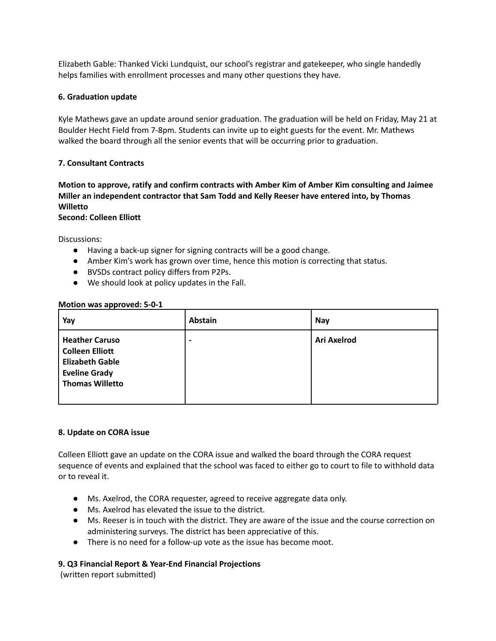Elizabeth Gable: Thanked Vicki Lundquist, our school's registrar and gatekeeper, who single handedly helps families with enrollment processes and many other questions they have.

#### **6. Graduation update**

Kyle Mathews gave an update around senior graduation. The graduation will be held on Friday, May 21 at Boulder Hecht Field from 7-8pm. Students can invite up to eight guests for the event. Mr. Mathews walked the board through all the senior events that will be occurring prior to graduation.

#### **7. Consultant Contracts**

**Motion to approve, ratify and confirm contracts with Amber Kim of Amber Kim consulting and Jaimee Miller an independent contractor that Sam Todd and Kelly Reeser have entered into, by Thomas Willetto**

#### **Second: Colleen Elliott**

Discussions:

- Having a back-up signer for signing contracts will be a good change.
- Amber Kim's work has grown over time, hence this motion is correcting that status.
- BVSDs contract policy differs from P2Ps.
- We should look at policy updates in the Fall.

#### **Motion was approved: 5-0-1**

| Yay                                                                                                                         | <b>Abstain</b> | <b>Nay</b>         |
|-----------------------------------------------------------------------------------------------------------------------------|----------------|--------------------|
| <b>Heather Caruso</b><br><b>Colleen Elliott</b><br><b>Elizabeth Gable</b><br><b>Eveline Grady</b><br><b>Thomas Willetto</b> |                | <b>Ari Axelrod</b> |

#### **8. Update on CORA issue**

Colleen Elliott gave an update on the CORA issue and walked the board through the CORA request sequence of events and explained that the school was faced to either go to court to file to withhold data or to reveal it.

- Ms. Axelrod, the CORA requester, agreed to receive aggregate data only.
- Ms. Axelrod has elevated the issue to the district.
- Ms. Reeser is in touch with the district. They are aware of the issue and the course correction on administering surveys. The district has been appreciative of this.
- There is no need for a follow-up vote as the issue has become moot.

#### **9. Q3 Financial Report & Year-End Financial Projections**

(written report submitted)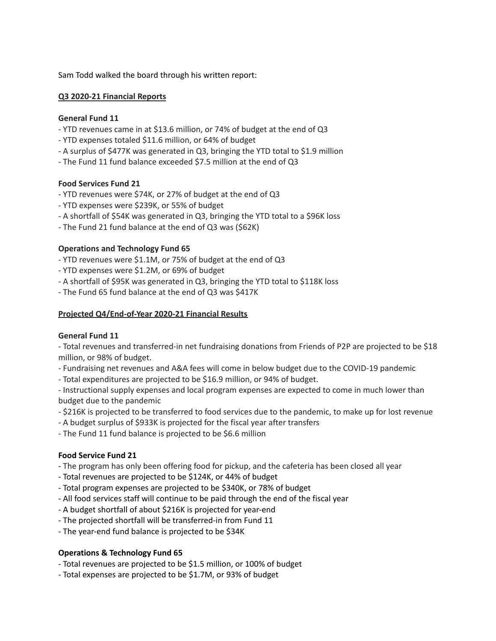Sam Todd walked the board through his written report:

#### **Q3 2020-21 Financial Reports**

#### **General Fund 11**

- YTD revenues came in at \$13.6 million, or 74% of budget at the end of Q3
- YTD expenses totaled \$11.6 million, or 64% of budget
- A surplus of \$477K was generated in Q3, bringing the YTD total to \$1.9 million
- The Fund 11 fund balance exceeded \$7.5 million at the end of Q3

#### **Food Services Fund 21**

- YTD revenues were \$74K, or 27% of budget at the end of Q3
- YTD expenses were \$239K, or 55% of budget
- A shortfall of \$54K was generated in Q3, bringing the YTD total to a \$96K loss
- The Fund 21 fund balance at the end of Q3 was (\$62K)

#### **Operations and Technology Fund 65**

- YTD revenues were \$1.1M, or 75% of budget at the end of Q3
- YTD expenses were \$1.2M, or 69% of budget
- A shortfall of \$95K was generated in Q3, bringing the YTD total to \$118K loss
- The Fund 65 fund balance at the end of Q3 was \$417K

#### **Projected Q4/End-of-Year 2020-21 Financial Results**

#### **General Fund 11**

- Total revenues and transferred-in net fundraising donations from Friends of P2P are projected to be \$18 million, or 98% of budget.

- Fundraising net revenues and A&A fees will come in below budget due to the COVID-19 pandemic
- Total expenditures are projected to be \$16.9 million, or 94% of budget.

- Instructional supply expenses and local program expenses are expected to come in much lower than budget due to the pandemic

- \$216K is projected to be transferred to food services due to the pandemic, to make up for lost revenue
- A budget surplus of \$933K is projected for the fiscal year after transfers
- The Fund 11 fund balance is projected to be \$6.6 million

#### **Food Service Fund 21**

- The program has only been offering food for pickup, and the cafeteria has been closed all year
- Total revenues are projected to be \$124K, or 44% of budget
- Total program expenses are projected to be \$340K, or 78% of budget
- All food services staff will continue to be paid through the end of the fiscal year
- A budget shortfall of about \$216K is projected for year-end
- The projected shortfall will be transferred-in from Fund 11
- The year-end fund balance is projected to be \$34K

#### **Operations & Technology Fund 65**

- Total revenues are projected to be \$1.5 million, or 100% of budget
- Total expenses are projected to be \$1.7M, or 93% of budget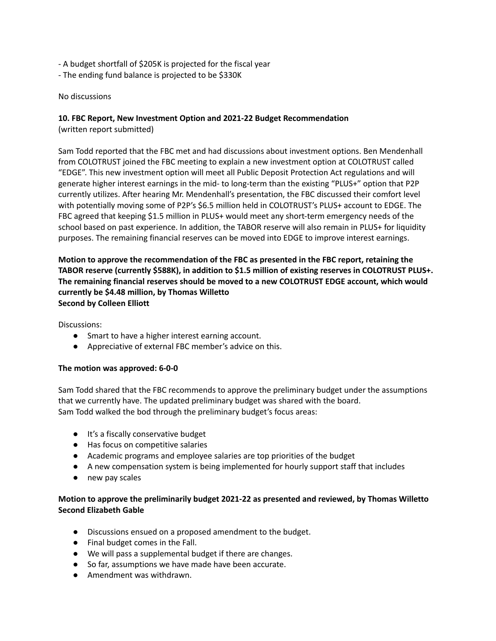- A budget shortfall of \$205K is projected for the fiscal year
- The ending fund balance is projected to be \$330K

#### No discussions

## **10. FBC Report, New Investment Option and 2021-22 Budget Recommendation**

(written report submitted)

Sam Todd reported that the FBC met and had discussions about investment options. Ben Mendenhall from COLOTRUST joined the FBC meeting to explain a new investment option at COLOTRUST called "EDGE". This new investment option will meet all Public Deposit Protection Act regulations and will generate higher interest earnings in the mid- to long-term than the existing "PLUS+" option that P2P currently utilizes. After hearing Mr. Mendenhall's presentation, the FBC discussed their comfort level with potentially moving some of P2P's \$6.5 million held in COLOTRUST's PLUS+ account to EDGE. The FBC agreed that keeping \$1.5 million in PLUS+ would meet any short-term emergency needs of the school based on past experience. In addition, the TABOR reserve will also remain in PLUS+ for liquidity purposes. The remaining financial reserves can be moved into EDGE to improve interest earnings.

## **Motion to approve the recommendation of the FBC as presented in the FBC report, retaining the TABOR reserve (currently \$588K), in addition to \$1.5 million of existing reserves in COLOTRUST PLUS+. The remaining financial reserves should be moved to a new COLOTRUST EDGE account, which would currently be \$4.48 million, by Thomas Willetto Second by Colleen Elliott**

Discussions:

- Smart to have a higher interest earning account.
- Appreciative of external FBC member's advice on this.

#### **The motion was approved: 6-0-0**

Sam Todd shared that the FBC recommends to approve the preliminary budget under the assumptions that we currently have. The updated preliminary budget was shared with the board. Sam Todd walked the bod through the preliminary budget's focus areas:

- It's a fiscally conservative budget
- Has focus on competitive salaries
- Academic programs and employee salaries are top priorities of the budget
- A new compensation system is being implemented for hourly support staff that includes
- new pay scales

# **Motion to approve the preliminarily budget 2021-22 as presented and reviewed, by Thomas Willetto Second Elizabeth Gable**

- Discussions ensued on a proposed amendment to the budget.
- Final budget comes in the Fall.
- We will pass a supplemental budget if there are changes.
- So far, assumptions we have made have been accurate.
- Amendment was withdrawn.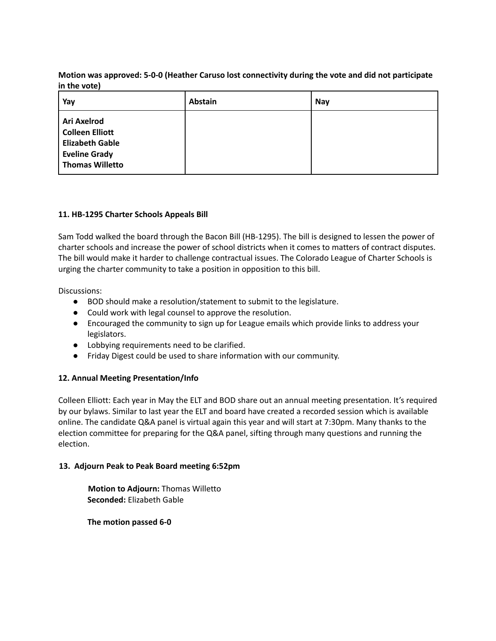## **Motion was approved: 5-0-0 (Heather Caruso lost connectivity during the vote and did not participate in the vote)**

| Yay                                                                                                               | <b>Abstain</b> | <b>Nay</b> |
|-------------------------------------------------------------------------------------------------------------------|----------------|------------|
| Ari Axelrod<br><b>Colleen Elliott</b><br><b>Elizabeth Gable</b><br><b>Eveline Grady</b><br><b>Thomas Willetto</b> |                |            |

## **11. HB-1295 Charter Schools Appeals Bill**

Sam Todd walked the board through the Bacon Bill (HB-1295). The bill is designed to lessen the power of charter schools and increase the power of school districts when it comes to matters of contract disputes. The bill would make it harder to challenge contractual issues. The Colorado League of Charter Schools is urging the charter community to take a position in opposition to this bill.

Discussions:

- BOD should make a resolution/statement to submit to the legislature.
- Could work with legal counsel to approve the resolution.
- Encouraged the community to sign up for League emails which provide links to address your legislators.
- Lobbying requirements need to be clarified.
- Friday Digest could be used to share information with our community.

# **12. Annual Meeting Presentation/Info**

Colleen Elliott: Each year in May the ELT and BOD share out an annual meeting presentation. It's required by our bylaws. Similar to last year the ELT and board have created a recorded session which is available online. The candidate Q&A panel is virtual again this year and will start at 7:30pm. Many thanks to the election committee for preparing for the Q&A panel, sifting through many questions and running the election.

#### **13. Adjourn Peak to Peak Board meeting 6:52pm**

**Motion to Adjourn:** Thomas Willetto **Seconded:** Elizabeth Gable

**The motion passed 6-0**